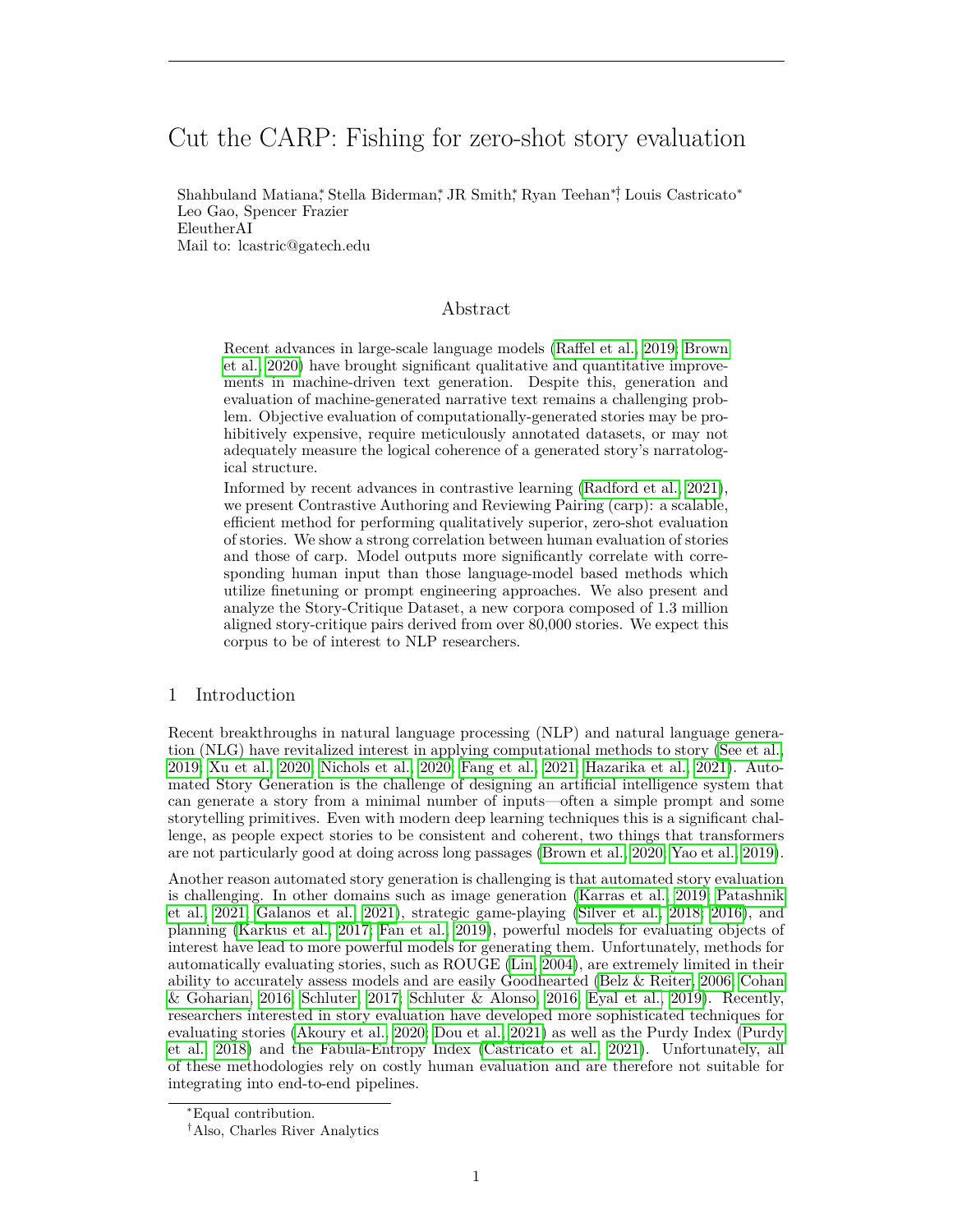# Cut the CARP: Fishing for zero-shot story evaluation

Shahbuland Matiana,\* Stella Biderman,\* JR Smith,\* Ryan Teehan\*,† Louis Castricato\* Leo Gao, Spencer Frazier EleutherAI Mail to: lcastric@gatech.edu

# Abstract

Recent advances in large-scale language models [\(Raffel et al., 2019;](#page-10-0) [Brown](#page-9-0) [et al., 2020\)](#page-9-0) have brought significant qualitative and quantitative improvements in machine-driven text generation. Despite this, generation and evaluation of machine-generated narrative text remains a challenging problem. Objective evaluation of computationally-generated stories may be prohibitively expensive, require meticulously annotated datasets, or may not adequately measure the logical coherence of a generated story's narratological structure.

Informed by recent advances in contrastive learning [\(Radford et al., 2021\)](#page-10-1), we present Contrastive Authoring and Reviewing Pairing (carp): a scalable, efficient method for performing qualitatively superior, zero-shot evaluation of stories. We show a strong correlation between human evaluation of stories and those of carp. Model outputs more significantly correlate with corresponding human input than those language-model based methods which utilize finetuning or prompt engineering approaches. We also present and analyze the Story-Critique Dataset, a new corpora composed of 1.3 million aligned story-critique pairs derived from over 80,000 stories. We expect this corpus to be of interest to NLP researchers.

# 1 Introduction

Recent breakthroughs in natural language processing (NLP) and natural language generation (NLG) have revitalized interest in applying computational methods to story [\(See et al.,](#page-10-2) [2019;](#page-10-2) [Xu et al., 2020;](#page-11-0) [Nichols et al., 2020;](#page-10-3) [Fang et al., 2021;](#page-9-1) [Hazarika et al., 2021\)](#page-10-4). Automated Story Generation is the challenge of designing an artificial intelligence system that can generate a story from a minimal number of inputs—often a simple prompt and some storytelling primitives. Even with modern deep learning techniques this is a significant challenge, as people expect stories to be consistent and coherent, two things that transformers are not particularly good at doing across long passages [\(Brown et al., 2020;](#page-9-0) [Yao et al., 2019\)](#page-11-1).

Another reason automated story generation is challenging is that automated story evaluation is challenging. In other domains such as image generation [\(Karras et al., 2019;](#page-10-5) [Patashnik](#page-10-6) [et al., 2021;](#page-10-6) [Galanos et al., 2021\)](#page-9-2), strategic game-playing [\(Silver et al., 2018;](#page-11-2) [2016\)](#page-11-3), and planning [\(Karkus et al., 2017;](#page-10-7) [Fan et al., 2019\)](#page-9-3), powerful models for evaluating objects of interest have lead to more powerful models for generating them. Unfortunately, methods for automatically evaluating stories, such as ROUGE [\(Lin, 2004\)](#page-10-8), are extremely limited in their ability to accurately assess models and are easily Goodhearted [\(Belz & Reiter, 2006;](#page-9-4) [Cohan](#page-9-5) [& Goharian, 2016;](#page-9-5) [Schluter, 2017;](#page-10-9) [Schluter & Alonso, 2016;](#page-10-10) [Eyal et al., 2019\)](#page-9-6). Recently, researchers interested in story evaluation have developed more sophisticated techniques for evaluating stories [\(Akoury et al., 2020;](#page-9-7) [Dou et al., 2021\)](#page-9-8) as well as the Purdy Index [\(Purdy](#page-10-11) [et al., 2018\)](#page-10-11) and the Fabula-Entropy Index [\(Castricato et al., 2021\)](#page-9-9). Unfortunately, all of these methodologies rely on costly human evaluation and are therefore not suitable for integrating into end-to-end pipelines.

<sup>∗</sup>Equal contribution.

<sup>†</sup>Also, Charles River Analytics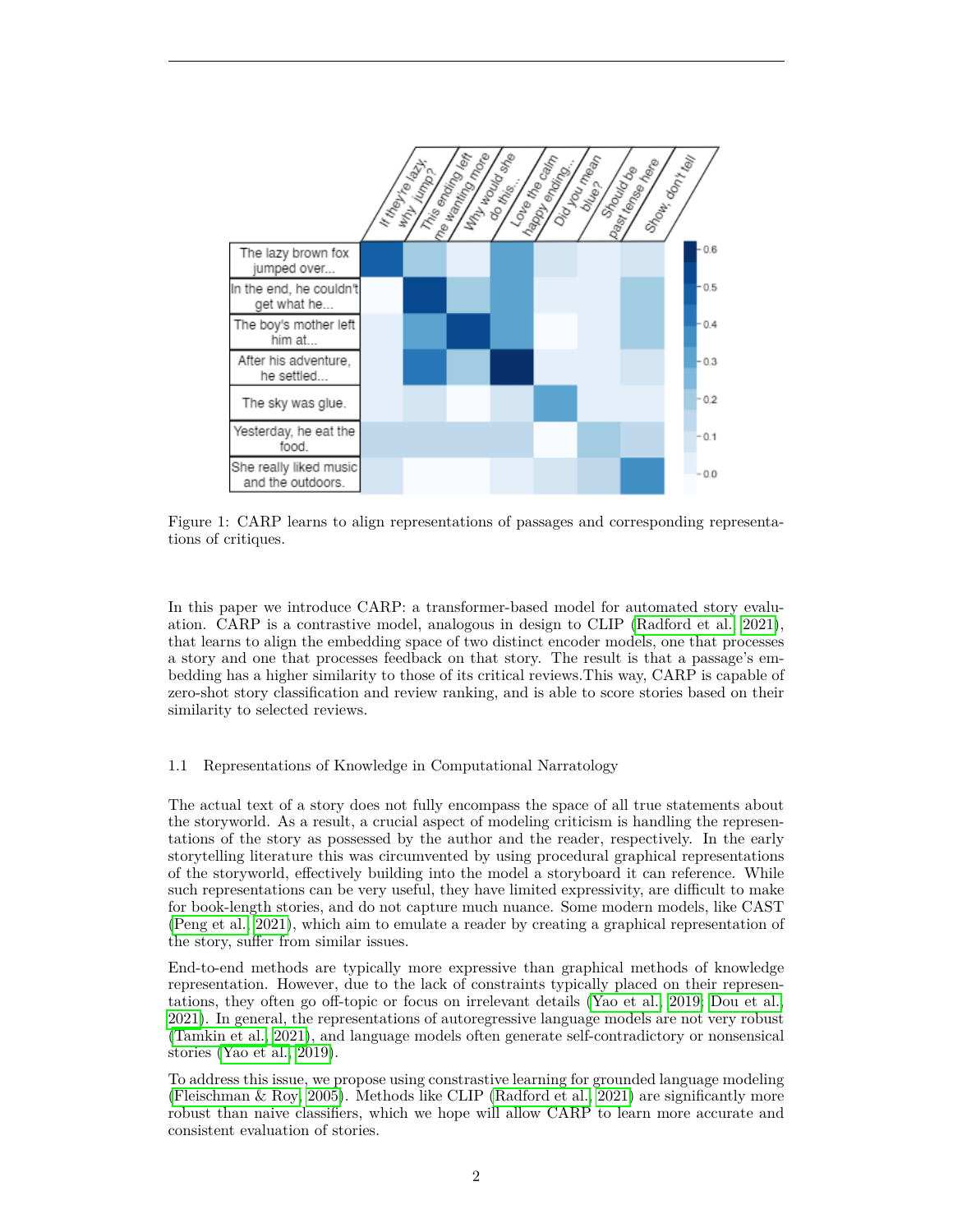

Figure 1: CARP learns to align representations of passages and corresponding representations of critiques.

In this paper we introduce CARP: a transformer-based model for automated story evaluation. CARP is a contrastive model, analogous in design to CLIP [\(Radford et al., 2021\)](#page-10-1), that learns to align the embedding space of two distinct encoder models, one that processes a story and one that processes feedback on that story. The result is that a passage's embedding has a higher similarity to those of its critical reviews.This way, CARP is capable of zero-shot story classification and review ranking, and is able to score stories based on their similarity to selected reviews.

#### 1.1 Representations of Knowledge in Computational Narratology

The actual text of a story does not fully encompass the space of all true statements about the storyworld. As a result, a crucial aspect of modeling criticism is handling the representations of the story as possessed by the author and the reader, respectively. In the early storytelling literature this was circumvented by using procedural graphical representations of the storyworld, effectively building into the model a storyboard it can reference. While such representations can be very useful, they have limited expressivity, are difficult to make for book-length stories, and do not capture much nuance. Some modern models, like CAST [\(Peng et al., 2021\)](#page-10-12), which aim to emulate a reader by creating a graphical representation of the story, suffer from similar issues.

End-to-end methods are typically more expressive than graphical methods of knowledge representation. However, due to the lack of constraints typically placed on their representations, they often go off-topic or focus on irrelevant details [\(Yao et al., 2019;](#page-11-1) [Dou et al.,](#page-9-8) [2021\)](#page-9-8). In general, the representations of autoregressive language models are not very robust [\(Tamkin et al., 2021\)](#page-11-4), and language models often generate self-contradictory or nonsensical stories [\(Yao et al., 2019\)](#page-11-1).

To address this issue, we propose using constrastive learning for grounded language modeling [\(Fleischman & Roy, 2005\)](#page-9-10). Methods like CLIP [\(Radford et al., 2021\)](#page-10-1) are significantly more robust than naive classifiers, which we hope will allow CARP to learn more accurate and consistent evaluation of stories.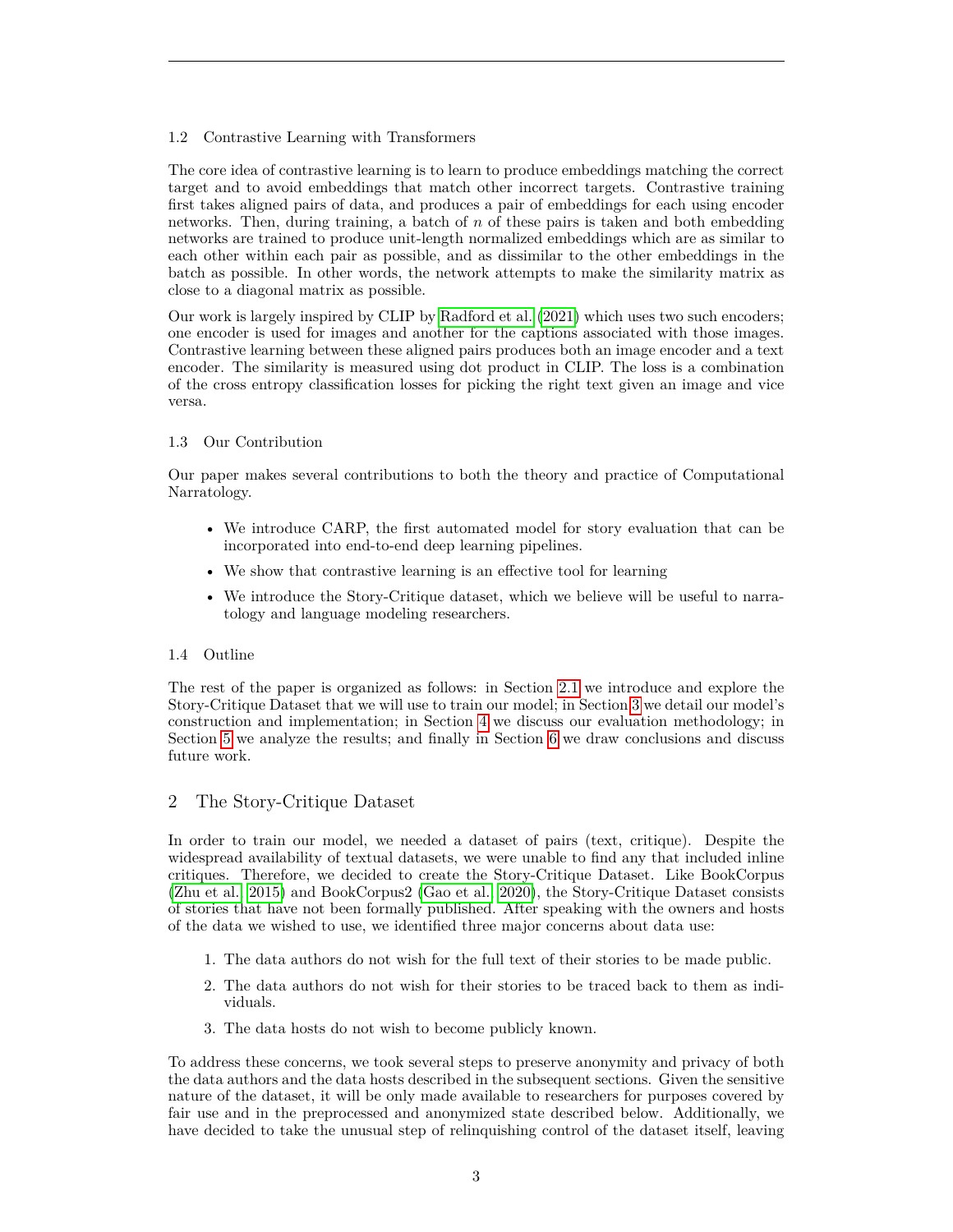# 1.2 Contrastive Learning with Transformers

The core idea of contrastive learning is to learn to produce embeddings matching the correct target and to avoid embeddings that match other incorrect targets. Contrastive training first takes aligned pairs of data, and produces a pair of embeddings for each using encoder networks. Then, during training, a batch of  $n$  of these pairs is taken and both embedding networks are trained to produce unit-length normalized embeddings which are as similar to each other within each pair as possible, and as dissimilar to the other embeddings in the batch as possible. In other words, the network attempts to make the similarity matrix as close to a diagonal matrix as possible.

Our work is largely inspired by CLIP by [Radford et al. \(2021\)](#page-10-1) which uses two such encoders; one encoder is used for images and another for the captions associated with those images. Contrastive learning between these aligned pairs produces both an image encoder and a text encoder. The similarity is measured using dot product in CLIP. The loss is a combination of the cross entropy classification losses for picking the right text given an image and vice versa.

# 1.3 Our Contribution

Our paper makes several contributions to both the theory and practice of Computational Narratology.

- We introduce CARP, the first automated model for story evaluation that can be incorporated into end-to-end deep learning pipelines.
- We show that contrastive learning is an effective tool for learning
- We introduce the Story-Critique dataset, which we believe will be useful to narratology and language modeling researchers.

# 1.4 Outline

The rest of the paper is organized as follows: in Section [2.1](#page-3-0) we introduce and explore the Story-Critique Dataset that we will use to train our model; in Section [3](#page-4-0) we detail our model's construction and implementation; in Section [4](#page-5-0) we discuss our evaluation methodology; in Section [5](#page-7-0) we analyze the results; and finally in Section [6](#page-8-0) we draw conclusions and discuss future work.

# 2 The Story-Critique Dataset

In order to train our model, we needed a dataset of pairs (text, critique). Despite the widespread availability of textual datasets, we were unable to find any that included inline critiques. Therefore, we decided to create the Story-Critique Dataset. Like BookCorpus [\(Zhu et al., 2015\)](#page-11-5) and BookCorpus2 [\(Gao et al., 2020\)](#page-10-13), the Story-Critique Dataset consists of stories that have not been formally published. After speaking with the owners and hosts of the data we wished to use, we identified three major concerns about data use:

- 1. The data authors do not wish for the full text of their stories to be made public.
- 2. The data authors do not wish for their stories to be traced back to them as individuals.
- 3. The data hosts do not wish to become publicly known.

To address these concerns, we took several steps to preserve anonymity and privacy of both the data authors and the data hosts described in the subsequent sections. Given the sensitive nature of the dataset, it will be only made available to researchers for purposes covered by fair use and in the preprocessed and anonymized state described below. Additionally, we have decided to take the unusual step of relinquishing control of the dataset itself, leaving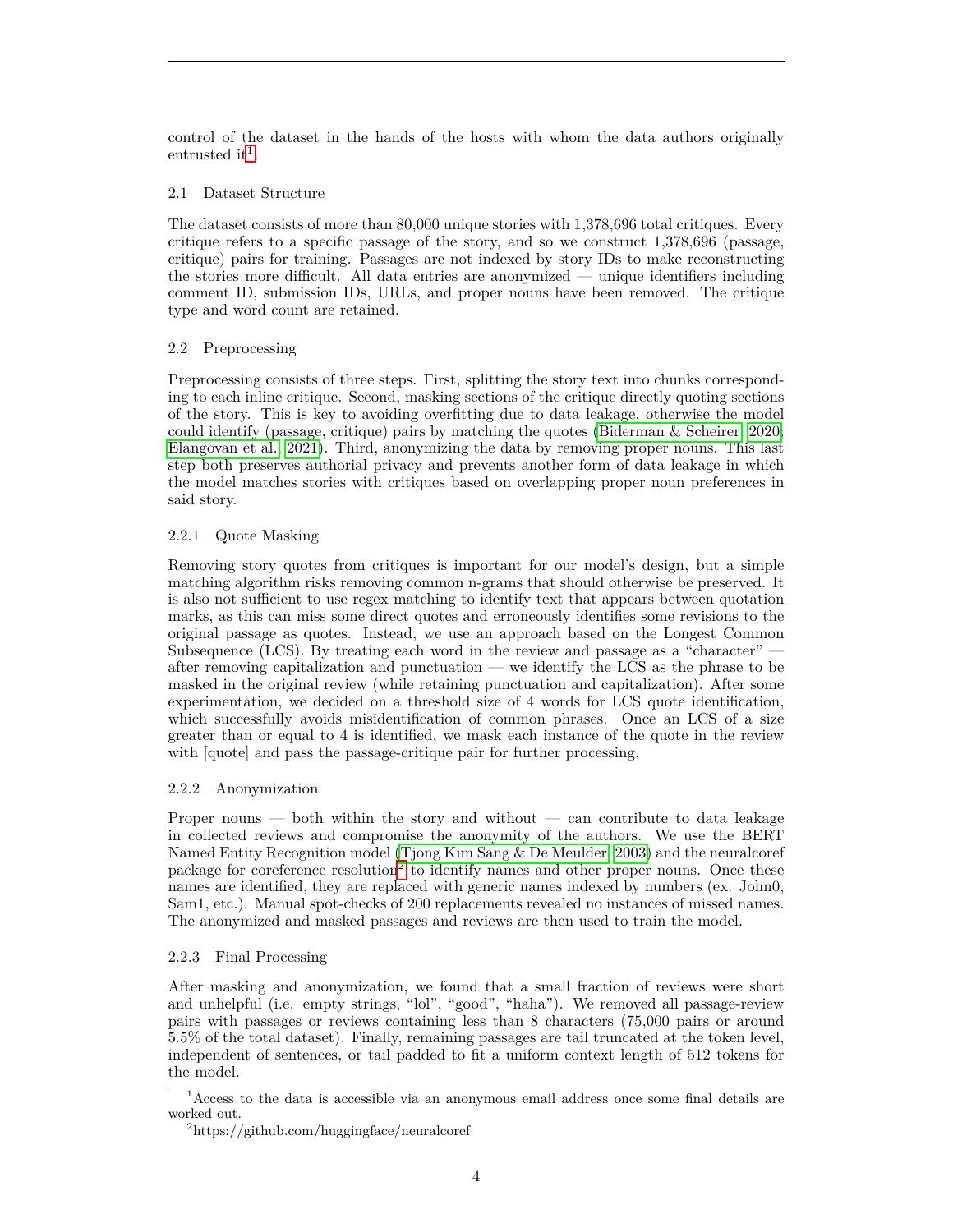control of the dataset in the hands of the hosts with whom the data authors originally entrustedi[t](#page-3-1)<sup>1</sup>.

### <span id="page-3-0"></span>2.1 Dataset Structure

The dataset consists of more than 80,000 unique stories with 1,378,696 total critiques. Every critique refers to a specific passage of the story, and so we construct 1,378,696 (passage, critique) pairs for training. Passages are not indexed by story IDs to make reconstructing the stories more difficult. All data entries are anonymized — unique identifiers including comment ID, submission IDs, URLs, and proper nouns have been removed. The critique type and word count are retained.

#### 2.2 Preprocessing

Preprocessing consists of three steps. First, splitting the story text into chunks corresponding to each inline critique. Second, masking sections of the critique directly quoting sections of the story. This is key to avoiding overfitting due to data leakage, otherwise the model could identify (passage, critique) pairs by matching the quotes (Biderman  $\&$  Scheirer, 2020; [Elangovan et al., 2021\)](#page-9-12). Third, anonymizing the data by removing proper nouns. This last step both preserves authorial privacy and prevents another form of data leakage in which the model matches stories with critiques based on overlapping proper noun preferences in said story.

# 2.2.1 Quote Masking

Removing story quotes from critiques is important for our model's design, but a simple matching algorithm risks removing common n-grams that should otherwise be preserved. It is also not sufficient to use regex matching to identify text that appears between quotation marks, as this can miss some direct quotes and erroneously identifies some revisions to the original passage as quotes. Instead, we use an approach based on the Longest Common Subsequence (LCS). By treating each word in the review and passage as a "character" after removing capitalization and punctuation — we identify the LCS as the phrase to be masked in the original review (while retaining punctuation and capitalization). After some experimentation, we decided on a threshold size of 4 words for LCS quote identification, which successfully avoids misidentification of common phrases. Once an LCS of a size greater than or equal to 4 is identified, we mask each instance of the quote in the review with [quote] and pass the passage-critique pair for further processing.

#### 2.2.2 Anonymization

Proper nouns — both within the story and without — can contribute to data leakage in collected reviews and compromise the anonymity of the authors. We use the BERT Named Entity Recognition model [\(Tjong Kim Sang & De Meulder, 2003\)](#page-11-6) and the neuralcoref package for coreference resolution<sup>[2](#page-3-2)</sup> to identify names and other proper nouns. Once these names are identified, they are replaced with generic names indexed by numbers (ex. John0, Sam1, etc.). Manual spot-checks of 200 replacements revealed no instances of missed names. The anonymized and masked passages and reviews are then used to train the model.

# 2.2.3 Final Processing

After masking and anonymization, we found that a small fraction of reviews were short and unhelpful (i.e. empty strings, "lol", "good", "haha"). We removed all passage-review pairs with passages or reviews containing less than 8 characters (75,000 pairs or around 5.5% of the total dataset). Finally, remaining passages are tail truncated at the token level, independent of sentences, or tail padded to fit a uniform context length of 512 tokens for the model.

<span id="page-3-1"></span><sup>1</sup>Access to the data is accessible via an anonymous email address once some final details are worked out.

<span id="page-3-2"></span><sup>2</sup>https://github.com/huggingface/neuralcoref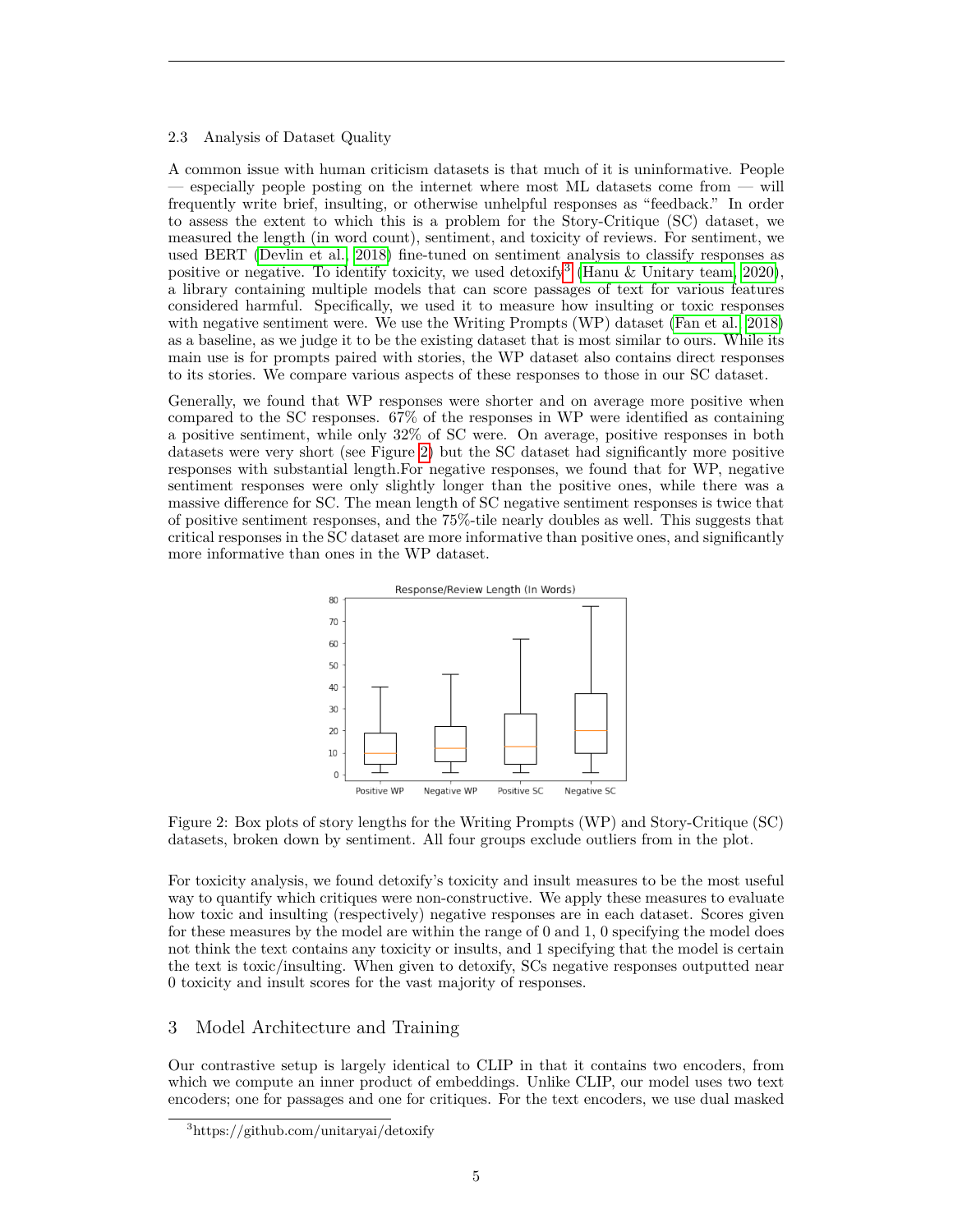#### 2.3 Analysis of Dataset Quality

A common issue with human criticism datasets is that much of it is uninformative. People — especially people posting on the internet where most ML datasets come from — will frequently write brief, insulting, or otherwise unhelpful responses as "feedback." In order to assess the extent to which this is a problem for the Story-Critique (SC) dataset, we measured the length (in word count), sentiment, and toxicity of reviews. For sentiment, we used BERT [\(Devlin et al., 2018\)](#page-9-13) fine-tuned on sentiment analysis to classify responses as positive or negative. To identify toxicity, we used detoxify<sup>[3](#page-4-1)</sup> [\(Hanu & Unitary team, 2020\)](#page-10-14), a library containing multiple models that can score passages of text for various features considered harmful. Specifically, we used it to measure how insulting or toxic responses with negative sentiment were. We use the Writing Prompts (WP) dataset [\(Fan et al., 2018\)](#page-9-14) as a baseline, as we judge it to be the existing dataset that is most similar to ours. While its main use is for prompts paired with stories, the WP dataset also contains direct responses to its stories. We compare various aspects of these responses to those in our SC dataset.

Generally, we found that WP responses were shorter and on average more positive when compared to the SC responses. 67% of the responses in WP were identified as containing a positive sentiment, while only 32% of SC were. On average, positive responses in both datasets were very short (see Figure [2\)](#page-4-2) but the SC dataset had significantly more positive responses with substantial length.For negative responses, we found that for WP, negative sentiment responses were only slightly longer than the positive ones, while there was a massive difference for SC. The mean length of SC negative sentiment responses is twice that of positive sentiment responses, and the 75%-tile nearly doubles as well. This suggests that critical responses in the SC dataset are more informative than positive ones, and significantly more informative than ones in the WP dataset.

<span id="page-4-2"></span>



For toxicity analysis, we found detoxify's toxicity and insult measures to be the most useful way to quantify which critiques were non-constructive. We apply these measures to evaluate how toxic and insulting (respectively) negative responses are in each dataset. Scores given for these measures by the model are within the range of 0 and 1, 0 specifying the model does not think the text contains any toxicity or insults, and 1 specifying that the model is certain the text is toxic/insulting. When given to detoxify, SCs negative responses outputted near 0 toxicity and insult scores for the vast majority of responses.

# <span id="page-4-0"></span>3 Model Architecture and Training

Our contrastive setup is largely identical to CLIP in that it contains two encoders, from which we compute an inner product of embeddings. Unlike CLIP, our model uses two text encoders; one for passages and one for critiques. For the text encoders, we use dual masked

<span id="page-4-1"></span><sup>3</sup>https://github.com/unitaryai/detoxify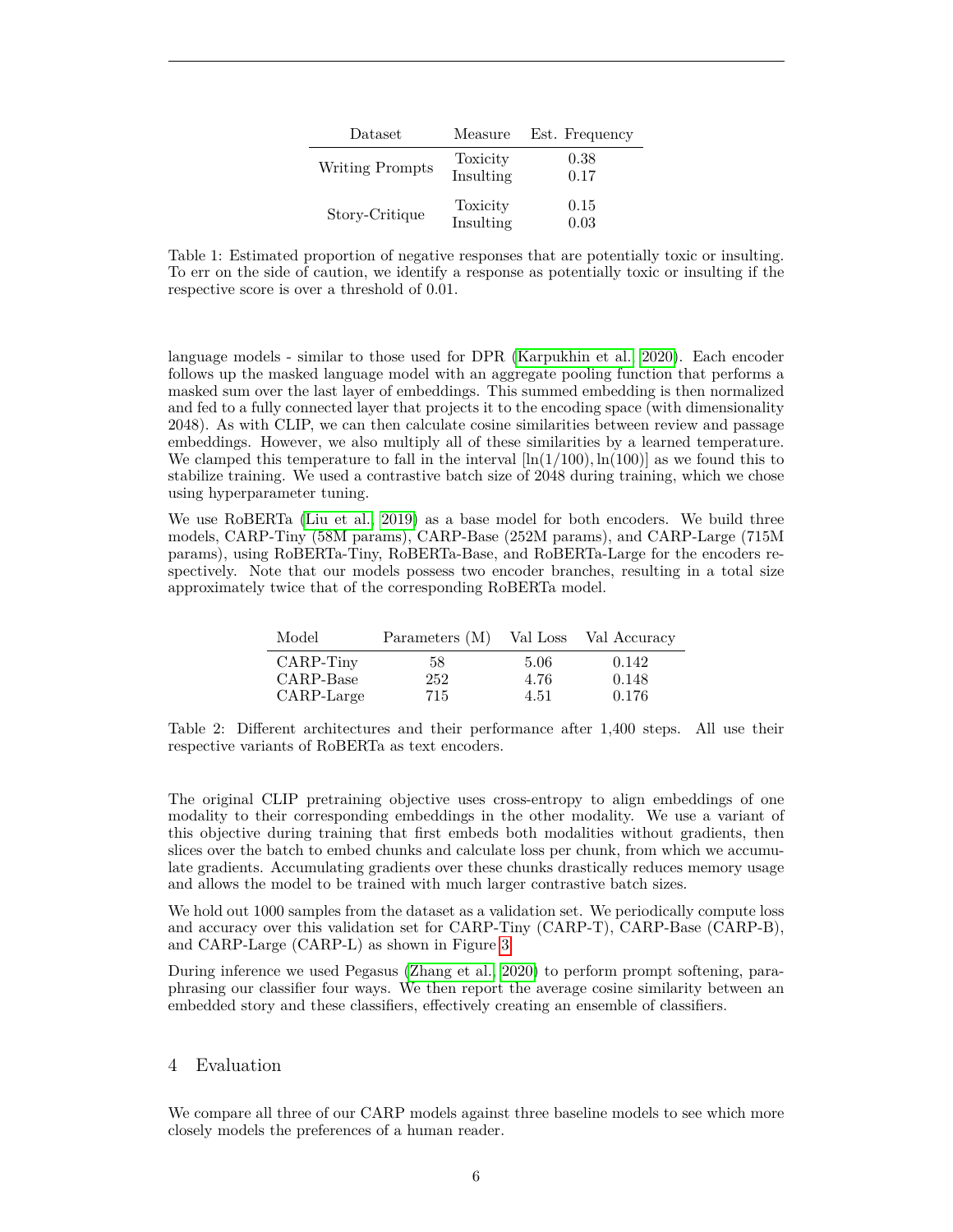| Dataset         | Measure               | Est. Frequency |
|-----------------|-----------------------|----------------|
| Writing Prompts | Toxicity<br>Insulting | 0.38<br>0.17   |
| Story-Critique  | Toxicity<br>Insulting | 0.15<br>0.03   |

Table 1: Estimated proportion of negative responses that are potentially toxic or insulting. To err on the side of caution, we identify a response as potentially toxic or insulting if the respective score is over a threshold of 0.01.

language models - similar to those used for DPR [\(Karpukhin et al., 2020\)](#page-10-15). Each encoder follows up the masked language model with an aggregate pooling function that performs a masked sum over the last layer of embeddings. This summed embedding is then normalized and fed to a fully connected layer that projects it to the encoding space (with dimensionality 2048). As with CLIP, we can then calculate cosine similarities between review and passage embeddings. However, we also multiply all of these similarities by a learned temperature. We clamped this temperature to fall in the interval  $[\ln(1/100), \ln(100)]$  as we found this to stabilize training. We used a contrastive batch size of 2048 during training, which we chose using hyperparameter tuning.

We use RoBERTa [\(Liu et al., 2019\)](#page-10-16) as a base model for both encoders. We build three models, CARP-Tiny (58M params), CARP-Base (252M params), and CARP-Large (715M params), using RoBERTa-Tiny, RoBERTa-Base, and RoBERTa-Large for the encoders respectively. Note that our models possess two encoder branches, resulting in a total size approximately twice that of the corresponding RoBERTa model.

| Model      | Parameters (M) |      | Val Loss Val Accuracy |
|------------|----------------|------|-----------------------|
| CARP-Tiny  | 58             | 5.06 | 0.142                 |
| CARP-Base  | 252            | 4.76 | 0.148                 |
| CARP-Large | 715            | 4.51 | 0.176                 |

Table 2: Different architectures and their performance after 1,400 steps. All use their respective variants of RoBERTa as text encoders.

The original CLIP pretraining objective uses cross-entropy to align embeddings of one modality to their corresponding embeddings in the other modality. We use a variant of this objective during training that first embeds both modalities without gradients, then slices over the batch to embed chunks and calculate loss per chunk, from which we accumulate gradients. Accumulating gradients over these chunks drastically reduces memory usage and allows the model to be trained with much larger contrastive batch sizes.

We hold out 1000 samples from the dataset as a validation set. We periodically compute loss and accuracy over this validation set for CARP-Tiny (CARP-T), CARP-Base (CARP-B), and CARP-Large (CARP-L) as shown in Figure [3.](#page-6-0)

During inference we used Pegasus [\(Zhang et al., 2020\)](#page-11-7) to perform prompt softening, paraphrasing our classifier four ways. We then report the average cosine similarity between an embedded story and these classifiers, effectively creating an ensemble of classifiers.

#### <span id="page-5-0"></span>4 Evaluation

We compare all three of our CARP models against three baseline models to see which more closely models the preferences of a human reader.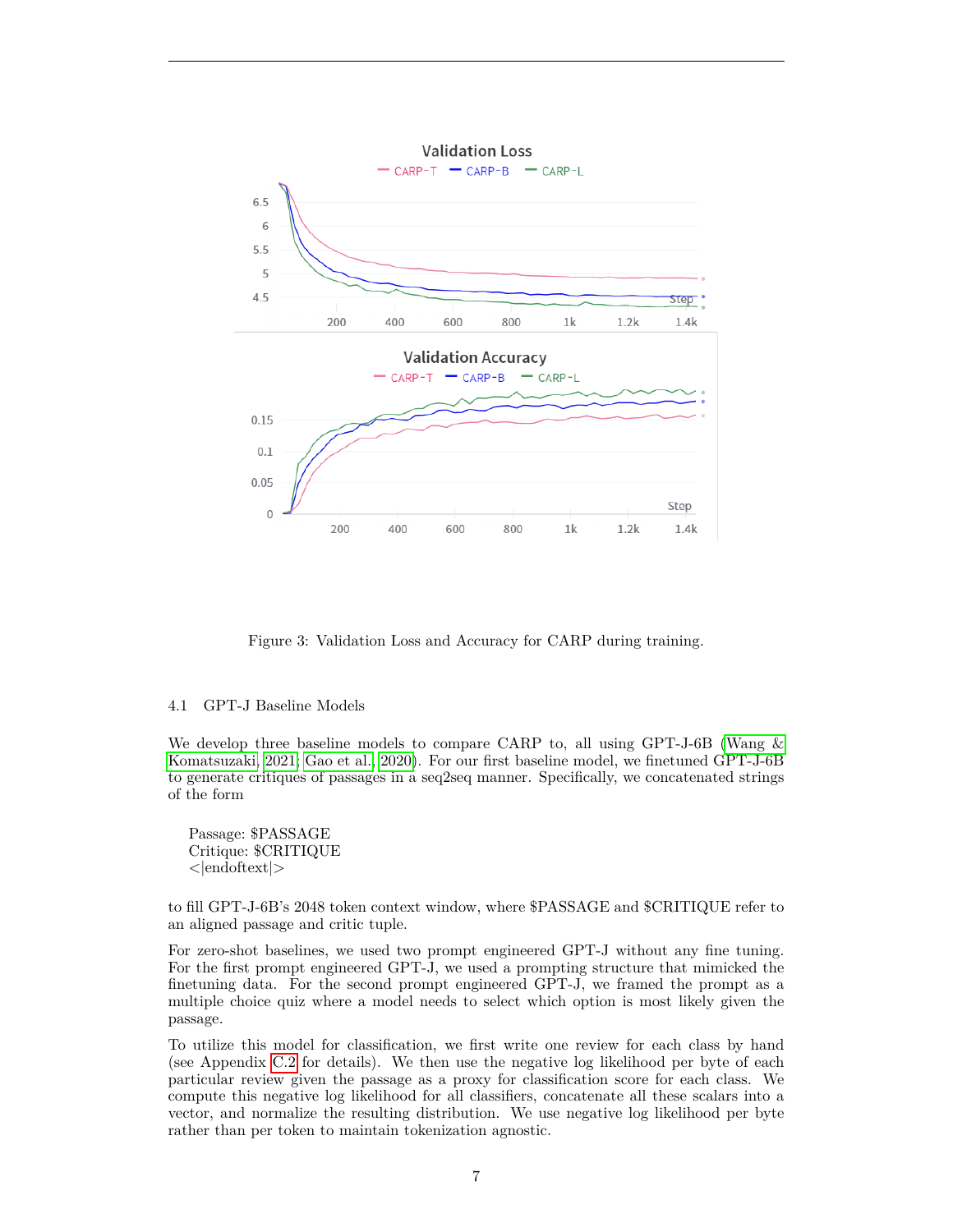<span id="page-6-0"></span>

Figure 3: Validation Loss and Accuracy for CARP during training.

#### 4.1 GPT-J Baseline Models

We develop three baseline models to compare CARP to, all using GPT-J-6B [\(Wang &](#page-11-8) [Komatsuzaki, 2021;](#page-11-8) [Gao et al., 2020\)](#page-10-13). For our first baseline model, we finetuned GPT-J-6B to generate critiques of passages in a seq2seq manner. Specifically, we concatenated strings of the form

Passage: \$PASSAGE Critique: \$CRITIQUE <|endoftext|>

to fill GPT-J-6B's 2048 token context window, where \$PASSAGE and \$CRITIQUE refer to an aligned passage and critic tuple.

For zero-shot baselines, we used two prompt engineered GPT-J without any fine tuning. For the first prompt engineered GPT-J, we used a prompting structure that mimicked the finetuning data. For the second prompt engineered GPT-J, we framed the prompt as a multiple choice quiz where a model needs to select which option is most likely given the passage.

To utilize this model for classification, we first write one review for each class by hand (see Appendix [C.2](#page-12-0) for details). We then use the negative log likelihood per byte of each particular review given the passage as a proxy for classification score for each class. We compute this negative log likelihood for all classifiers, concatenate all these scalars into a vector, and normalize the resulting distribution. We use negative log likelihood per byte rather than per token to maintain tokenization agnostic.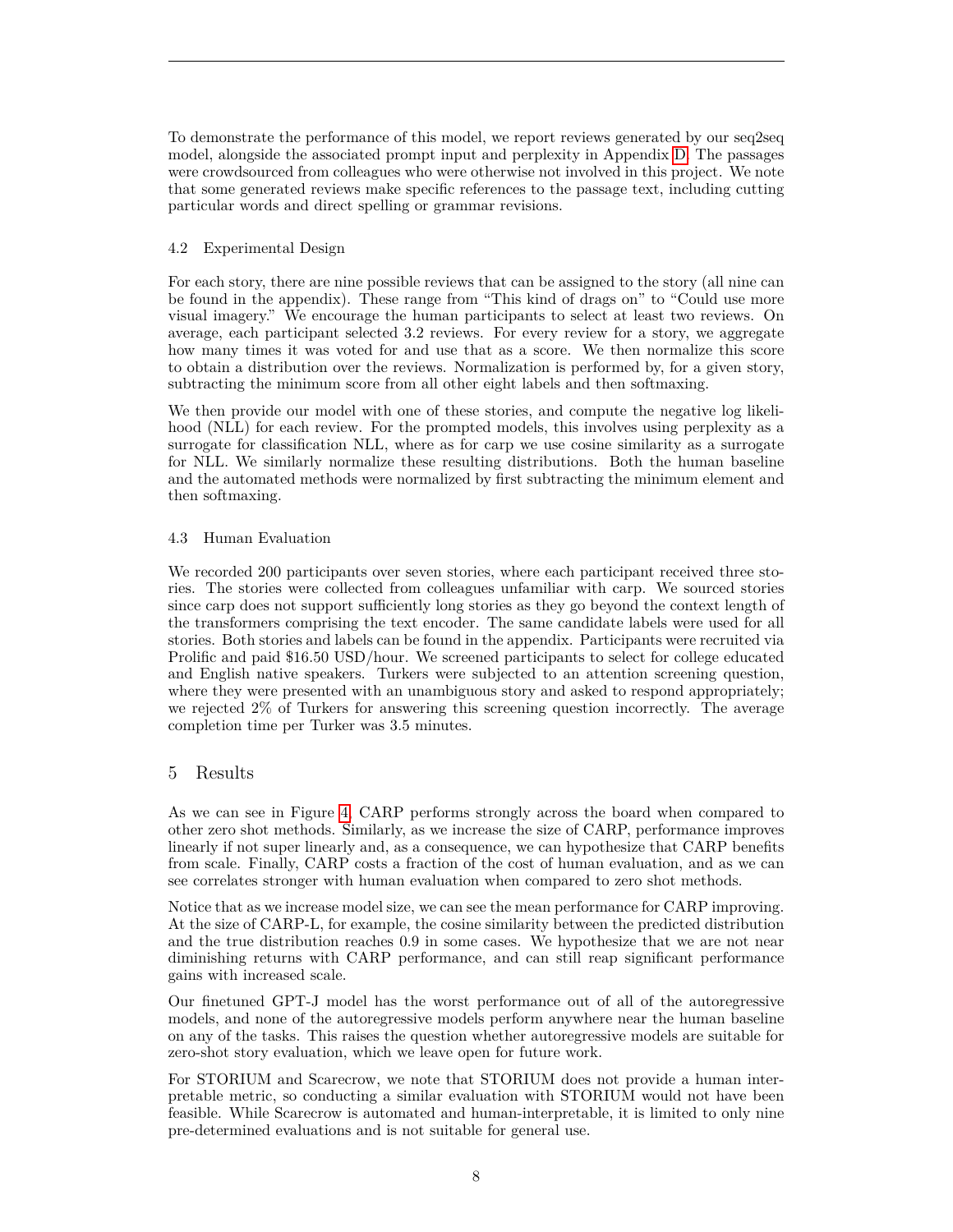To demonstrate the performance of this model, we report reviews generated by our seq2seq model, alongside the associated prompt input and perplexity in Appendix [D.](#page-13-0) The passages were crowdsourced from colleagues who were otherwise not involved in this project. We note that some generated reviews make specific references to the passage text, including cutting particular words and direct spelling or grammar revisions.

# 4.2 Experimental Design

For each story, there are nine possible reviews that can be assigned to the story (all nine can be found in the appendix). These range from "This kind of drags on" to "Could use more visual imagery." We encourage the human participants to select at least two reviews. On average, each participant selected 3.2 reviews. For every review for a story, we aggregate how many times it was voted for and use that as a score. We then normalize this score to obtain a distribution over the reviews. Normalization is performed by, for a given story, subtracting the minimum score from all other eight labels and then softmaxing.

We then provide our model with one of these stories, and compute the negative log likelihood (NLL) for each review. For the prompted models, this involves using perplexity as a surrogate for classification NLL, where as for carp we use cosine similarity as a surrogate for NLL. We similarly normalize these resulting distributions. Both the human baseline and the automated methods were normalized by first subtracting the minimum element and then softmaxing.

# 4.3 Human Evaluation

We recorded 200 participants over seven stories, where each participant received three stories. The stories were collected from colleagues unfamiliar with carp. We sourced stories since carp does not support sufficiently long stories as they go beyond the context length of the transformers comprising the text encoder. The same candidate labels were used for all stories. Both stories and labels can be found in the appendix. Participants were recruited via Prolific and paid \$16.50 USD/hour. We screened participants to select for college educated and English native speakers. Turkers were subjected to an attention screening question, where they were presented with an unambiguous story and asked to respond appropriately; we rejected 2% of Turkers for answering this screening question incorrectly. The average completion time per Turker was 3.5 minutes.

# <span id="page-7-0"></span>5 Results

As we can see in Figure [4,](#page-8-1) CARP performs strongly across the board when compared to other zero shot methods. Similarly, as we increase the size of CARP, performance improves linearly if not super linearly and, as a consequence, we can hypothesize that CARP benefits from scale. Finally, CARP costs a fraction of the cost of human evaluation, and as we can see correlates stronger with human evaluation when compared to zero shot methods.

Notice that as we increase model size, we can see the mean performance for CARP improving. At the size of CARP-L, for example, the cosine similarity between the predicted distribution and the true distribution reaches 0.9 in some cases. We hypothesize that we are not near diminishing returns with CARP performance, and can still reap significant performance gains with increased scale.

Our finetuned GPT-J model has the worst performance out of all of the autoregressive models, and none of the autoregressive models perform anywhere near the human baseline on any of the tasks. This raises the question whether autoregressive models are suitable for zero-shot story evaluation, which we leave open for future work.

For STORIUM and Scarecrow, we note that STORIUM does not provide a human interpretable metric, so conducting a similar evaluation with STORIUM would not have been feasible. While Scarecrow is automated and human-interpretable, it is limited to only nine pre-determined evaluations and is not suitable for general use.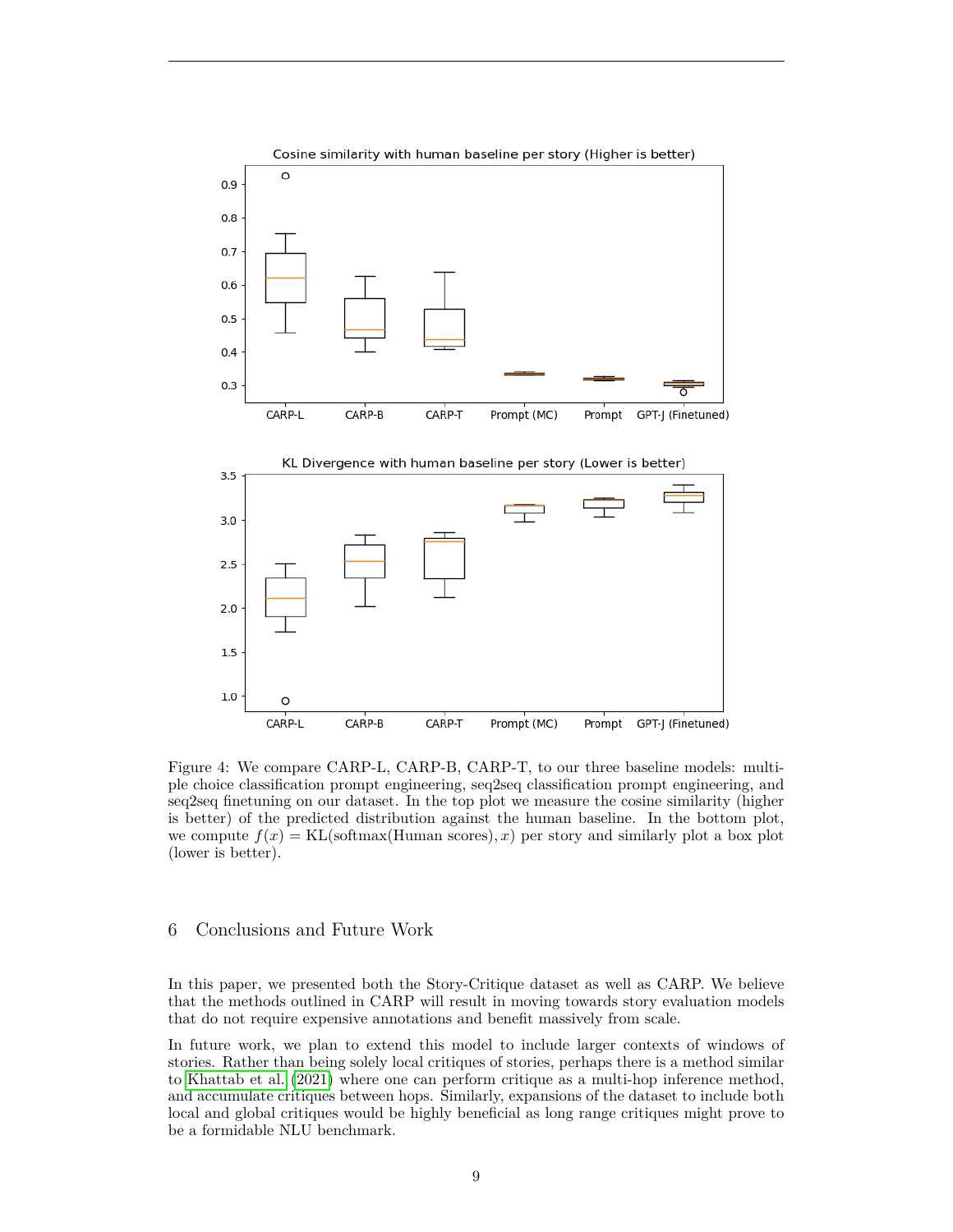<span id="page-8-1"></span>

Figure 4: We compare CARP-L, CARP-B, CARP-T, to our three baseline models: multiple choice classification prompt engineering, seq2seq classification prompt engineering, and seq2seq finetuning on our dataset. In the top plot we measure the cosine similarity (higher is better) of the predicted distribution against the human baseline. In the bottom plot, we compute  $f(x) = KL(\text{softmax}(\text{Human scores}), x)$  per story and similarly plot a box plot (lower is better).

# <span id="page-8-0"></span>6 Conclusions and Future Work

In this paper, we presented both the Story-Critique dataset as well as CARP. We believe that the methods outlined in CARP will result in moving towards story evaluation models that do not require expensive annotations and benefit massively from scale.

In future work, we plan to extend this model to include larger contexts of windows of stories. Rather than being solely local critiques of stories, perhaps there is a method similar to [Khattab et al. \(2021\)](#page-10-17) where one can perform critique as a multi-hop inference method, and accumulate critiques between hops. Similarly, expansions of the dataset to include both local and global critiques would be highly beneficial as long range critiques might prove to be a formidable NLU benchmark.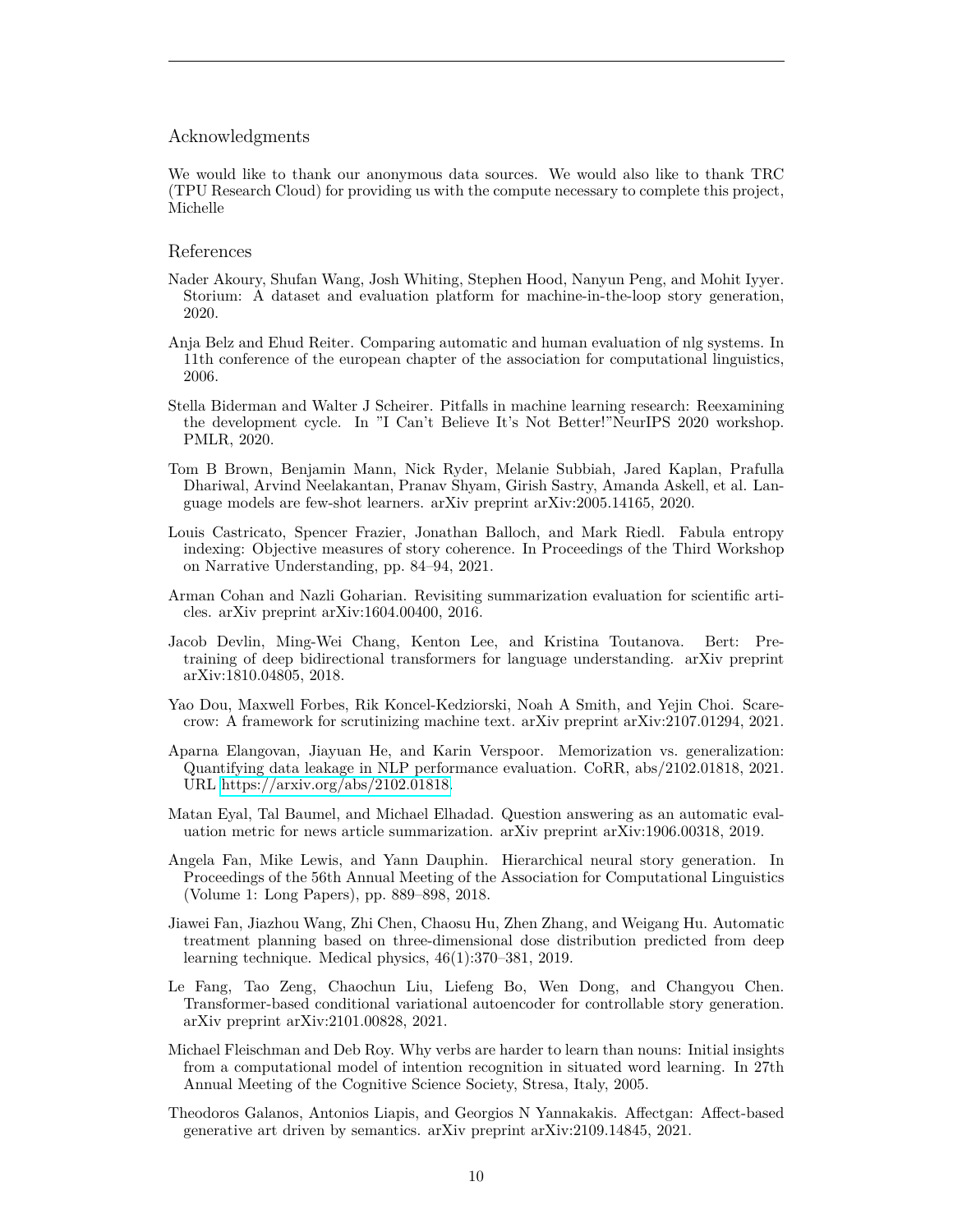### Acknowledgments

We would like to thank our anonymous data sources. We would also like to thank TRC (TPU Research Cloud) for providing us with the compute necessary to complete this project, Michelle

### References

- <span id="page-9-7"></span>Nader Akoury, Shufan Wang, Josh Whiting, Stephen Hood, Nanyun Peng, and Mohit Iyyer. Storium: A dataset and evaluation platform for machine-in-the-loop story generation, 2020.
- <span id="page-9-4"></span>Anja Belz and Ehud Reiter. Comparing automatic and human evaluation of nlg systems. In 11th conference of the european chapter of the association for computational linguistics, 2006.
- <span id="page-9-11"></span>Stella Biderman and Walter J Scheirer. Pitfalls in machine learning research: Reexamining the development cycle. In "I Can't Believe It's Not Better!"NeurIPS 2020 workshop. PMLR, 2020.
- <span id="page-9-0"></span>Tom B Brown, Benjamin Mann, Nick Ryder, Melanie Subbiah, Jared Kaplan, Prafulla Dhariwal, Arvind Neelakantan, Pranav Shyam, Girish Sastry, Amanda Askell, et al. Language models are few-shot learners. arXiv preprint arXiv:2005.14165, 2020.
- <span id="page-9-9"></span>Louis Castricato, Spencer Frazier, Jonathan Balloch, and Mark Riedl. Fabula entropy indexing: Objective measures of story coherence. In Proceedings of the Third Workshop on Narrative Understanding, pp. 84–94, 2021.
- <span id="page-9-5"></span>Arman Cohan and Nazli Goharian. Revisiting summarization evaluation for scientific articles. arXiv preprint arXiv:1604.00400, 2016.
- <span id="page-9-13"></span>Jacob Devlin, Ming-Wei Chang, Kenton Lee, and Kristina Toutanova. Bert: Pretraining of deep bidirectional transformers for language understanding. arXiv preprint arXiv:1810.04805, 2018.
- <span id="page-9-8"></span>Yao Dou, Maxwell Forbes, Rik Koncel-Kedziorski, Noah A Smith, and Yejin Choi. Scarecrow: A framework for scrutinizing machine text. arXiv preprint arXiv:2107.01294, 2021.
- <span id="page-9-12"></span>Aparna Elangovan, Jiayuan He, and Karin Verspoor. Memorization vs. generalization: Quantifying data leakage in NLP performance evaluation. CoRR, abs/2102.01818, 2021. URL [https://arxiv.org/abs/2102.01818.](https://arxiv.org/abs/2102.01818)
- <span id="page-9-6"></span>Matan Eyal, Tal Baumel, and Michael Elhadad. Question answering as an automatic evaluation metric for news article summarization. arXiv preprint arXiv:1906.00318, 2019.
- <span id="page-9-14"></span>Angela Fan, Mike Lewis, and Yann Dauphin. Hierarchical neural story generation. In Proceedings of the 56th Annual Meeting of the Association for Computational Linguistics (Volume 1: Long Papers), pp. 889–898, 2018.
- <span id="page-9-3"></span>Jiawei Fan, Jiazhou Wang, Zhi Chen, Chaosu Hu, Zhen Zhang, and Weigang Hu. Automatic treatment planning based on three-dimensional dose distribution predicted from deep learning technique. Medical physics, 46(1):370–381, 2019.
- <span id="page-9-1"></span>Le Fang, Tao Zeng, Chaochun Liu, Liefeng Bo, Wen Dong, and Changyou Chen. Transformer-based conditional variational autoencoder for controllable story generation. arXiv preprint arXiv:2101.00828, 2021.
- <span id="page-9-10"></span>Michael Fleischman and Deb Roy. Why verbs are harder to learn than nouns: Initial insights from a computational model of intention recognition in situated word learning. In 27th Annual Meeting of the Cognitive Science Society, Stresa, Italy, 2005.
- <span id="page-9-2"></span>Theodoros Galanos, Antonios Liapis, and Georgios N Yannakakis. Affectgan: Affect-based generative art driven by semantics. arXiv preprint arXiv:2109.14845, 2021.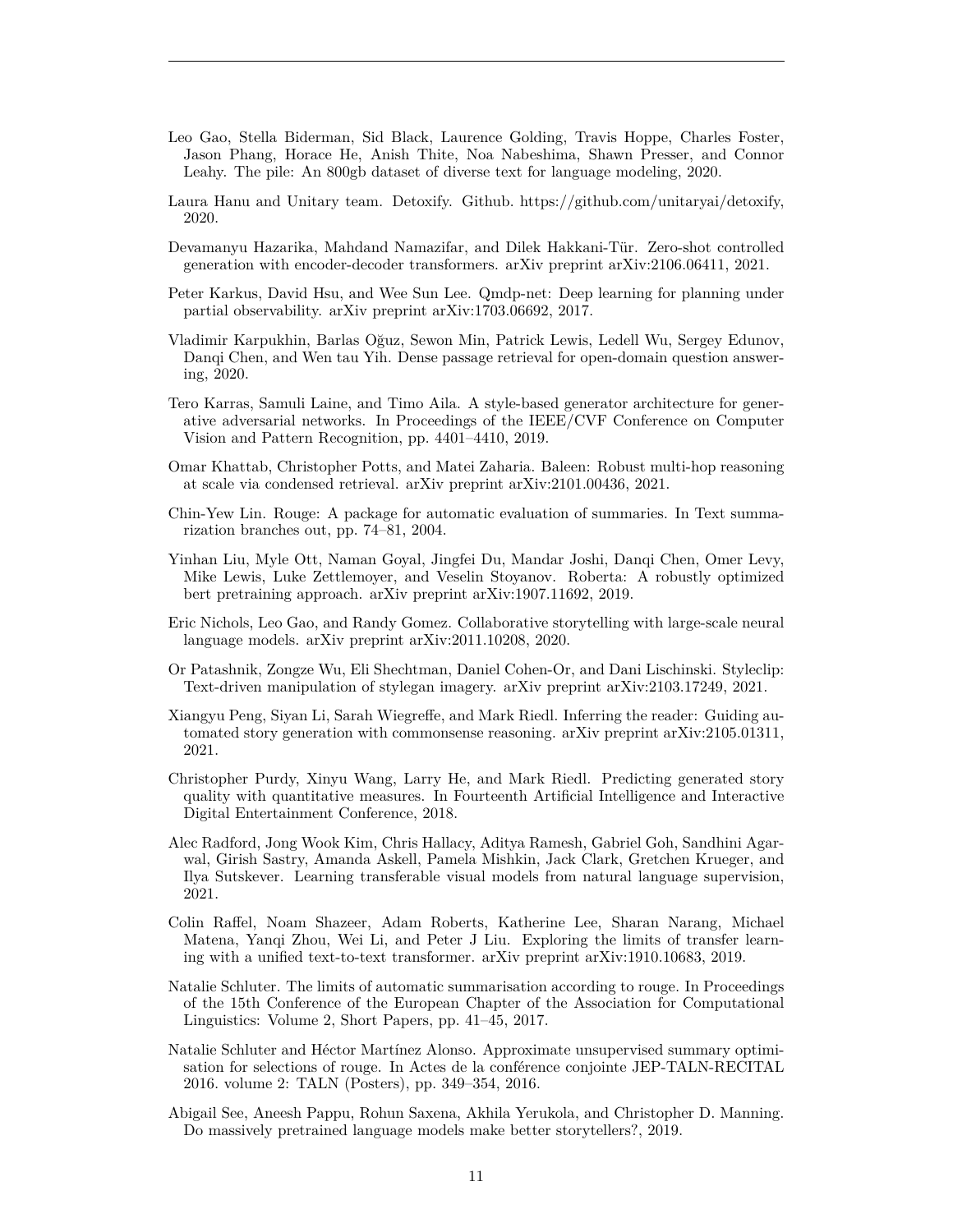- <span id="page-10-13"></span>Leo Gao, Stella Biderman, Sid Black, Laurence Golding, Travis Hoppe, Charles Foster, Jason Phang, Horace He, Anish Thite, Noa Nabeshima, Shawn Presser, and Connor Leahy. The pile: An 800gb dataset of diverse text for language modeling, 2020.
- <span id="page-10-14"></span>Laura Hanu and Unitary team. Detoxify. Github. https://github.com/unitaryai/detoxify, 2020.
- <span id="page-10-4"></span>Devamanyu Hazarika, Mahdand Namazifar, and Dilek Hakkani-Tür. Zero-shot controlled generation with encoder-decoder transformers. arXiv preprint arXiv:2106.06411, 2021.
- <span id="page-10-7"></span>Peter Karkus, David Hsu, and Wee Sun Lee. Qmdp-net: Deep learning for planning under partial observability. arXiv preprint arXiv:1703.06692, 2017.
- <span id="page-10-15"></span>Vladimir Karpukhin, Barlas Oğuz, Sewon Min, Patrick Lewis, Ledell Wu, Sergey Edunov, Danqi Chen, and Wen tau Yih. Dense passage retrieval for open-domain question answering, 2020.
- <span id="page-10-5"></span>Tero Karras, Samuli Laine, and Timo Aila. A style-based generator architecture for generative adversarial networks. In Proceedings of the IEEE/CVF Conference on Computer Vision and Pattern Recognition, pp. 4401–4410, 2019.
- <span id="page-10-17"></span>Omar Khattab, Christopher Potts, and Matei Zaharia. Baleen: Robust multi-hop reasoning at scale via condensed retrieval. arXiv preprint arXiv:2101.00436, 2021.
- <span id="page-10-8"></span>Chin-Yew Lin. Rouge: A package for automatic evaluation of summaries. In Text summarization branches out, pp. 74–81, 2004.
- <span id="page-10-16"></span>Yinhan Liu, Myle Ott, Naman Goyal, Jingfei Du, Mandar Joshi, Danqi Chen, Omer Levy, Mike Lewis, Luke Zettlemoyer, and Veselin Stoyanov. Roberta: A robustly optimized bert pretraining approach. arXiv preprint arXiv:1907.11692, 2019.
- <span id="page-10-3"></span>Eric Nichols, Leo Gao, and Randy Gomez. Collaborative storytelling with large-scale neural language models. arXiv preprint arXiv:2011.10208, 2020.
- <span id="page-10-6"></span>Or Patashnik, Zongze Wu, Eli Shechtman, Daniel Cohen-Or, and Dani Lischinski. Styleclip: Text-driven manipulation of stylegan imagery. arXiv preprint arXiv:2103.17249, 2021.
- <span id="page-10-12"></span>Xiangyu Peng, Siyan Li, Sarah Wiegreffe, and Mark Riedl. Inferring the reader: Guiding automated story generation with commonsense reasoning. arXiv preprint arXiv:2105.01311, 2021.
- <span id="page-10-11"></span>Christopher Purdy, Xinyu Wang, Larry He, and Mark Riedl. Predicting generated story quality with quantitative measures. In Fourteenth Artificial Intelligence and Interactive Digital Entertainment Conference, 2018.
- <span id="page-10-1"></span>Alec Radford, Jong Wook Kim, Chris Hallacy, Aditya Ramesh, Gabriel Goh, Sandhini Agarwal, Girish Sastry, Amanda Askell, Pamela Mishkin, Jack Clark, Gretchen Krueger, and Ilya Sutskever. Learning transferable visual models from natural language supervision, 2021.
- <span id="page-10-0"></span>Colin Raffel, Noam Shazeer, Adam Roberts, Katherine Lee, Sharan Narang, Michael Matena, Yanqi Zhou, Wei Li, and Peter J Liu. Exploring the limits of transfer learning with a unified text-to-text transformer. arXiv preprint arXiv:1910.10683, 2019.
- <span id="page-10-9"></span>Natalie Schluter. The limits of automatic summarisation according to rouge. In Proceedings of the 15th Conference of the European Chapter of the Association for Computational Linguistics: Volume 2, Short Papers, pp. 41–45, 2017.
- <span id="page-10-10"></span>Natalie Schluter and Héctor Martínez Alonso. Approximate unsupervised summary optimisation for selections of rouge. In Actes de la conférence conjointe JEP-TALN-RECITAL 2016. volume 2: TALN (Posters), pp. 349–354, 2016.
- <span id="page-10-2"></span>Abigail See, Aneesh Pappu, Rohun Saxena, Akhila Yerukola, and Christopher D. Manning. Do massively pretrained language models make better storytellers?, 2019.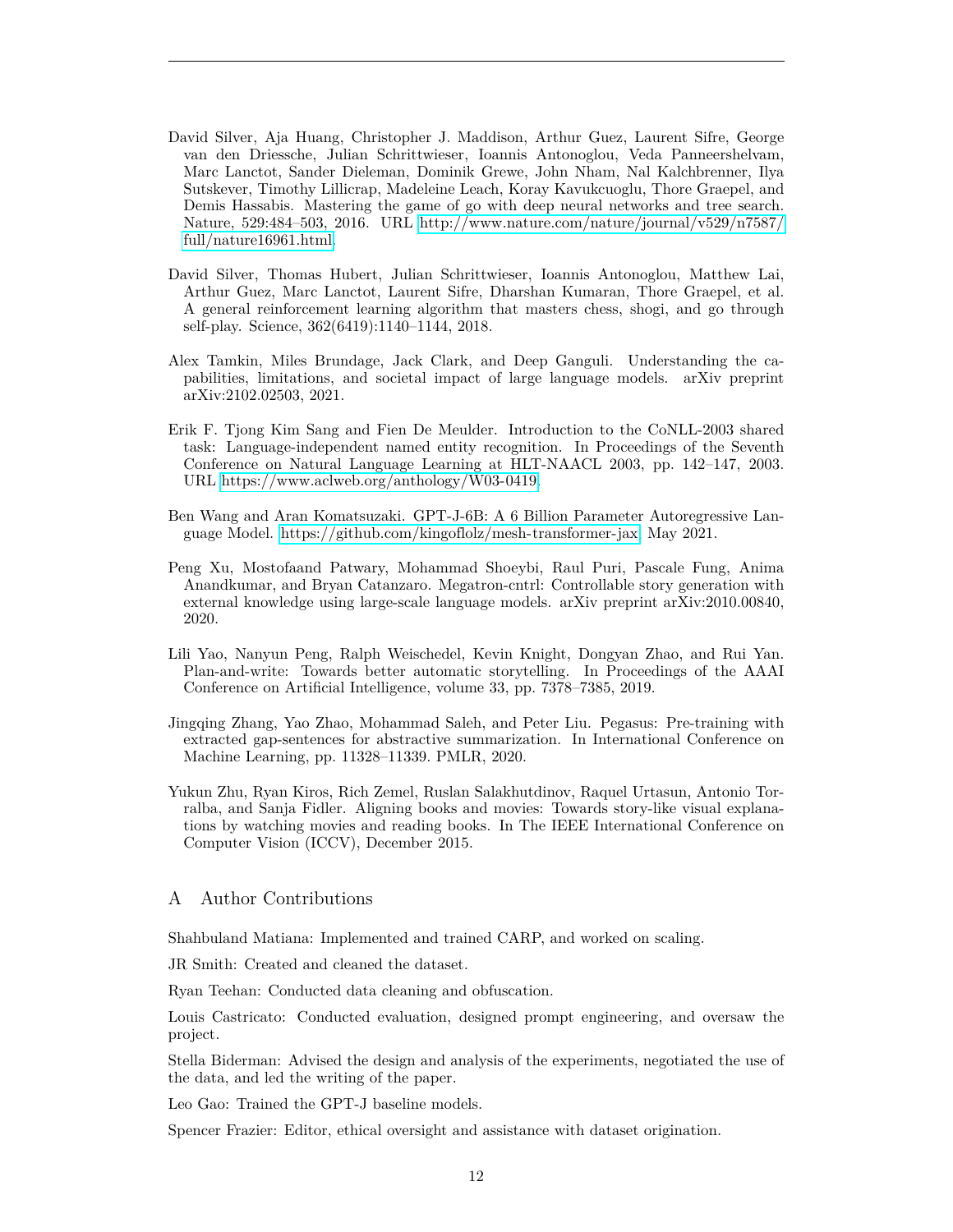- <span id="page-11-3"></span>David Silver, Aja Huang, Christopher J. Maddison, Arthur Guez, Laurent Sifre, George van den Driessche, Julian Schrittwieser, Ioannis Antonoglou, Veda Panneershelvam, Marc Lanctot, Sander Dieleman, Dominik Grewe, John Nham, Nal Kalchbrenner, Ilya Sutskever, Timothy Lillicrap, Madeleine Leach, Koray Kavukcuoglu, Thore Graepel, and Demis Hassabis. Mastering the game of go with deep neural networks and tree search. Nature, 529:484–503, 2016. URL [http://www.nature.com/nature/journal/v529/n7587/](http://www.nature.com/nature/journal/v529/n7587/full/nature16961.html) [full/nature16961.html.](http://www.nature.com/nature/journal/v529/n7587/full/nature16961.html)
- <span id="page-11-2"></span>David Silver, Thomas Hubert, Julian Schrittwieser, Ioannis Antonoglou, Matthew Lai, Arthur Guez, Marc Lanctot, Laurent Sifre, Dharshan Kumaran, Thore Graepel, et al. A general reinforcement learning algorithm that masters chess, shogi, and go through self-play. Science, 362(6419):1140–1144, 2018.
- <span id="page-11-4"></span>Alex Tamkin, Miles Brundage, Jack Clark, and Deep Ganguli. Understanding the capabilities, limitations, and societal impact of large language models. arXiv preprint arXiv:2102.02503, 2021.
- <span id="page-11-6"></span>Erik F. Tjong Kim Sang and Fien De Meulder. Introduction to the CoNLL-2003 shared task: Language-independent named entity recognition. In Proceedings of the Seventh Conference on Natural Language Learning at HLT-NAACL 2003, pp. 142–147, 2003. URL [https://www.aclweb.org/anthology/W03-0419.](https://www.aclweb.org/anthology/W03-0419)
- <span id="page-11-8"></span>Ben Wang and Aran Komatsuzaki. GPT-J-6B: A 6 Billion Parameter Autoregressive Language Model. [https://github.com/kingoflolz/mesh-transformer-jax,](https://github.com/kingoflolz/mesh-transformer-jax) May 2021.
- <span id="page-11-0"></span>Peng Xu, Mostofaand Patwary, Mohammad Shoeybi, Raul Puri, Pascale Fung, Anima Anandkumar, and Bryan Catanzaro. Megatron-cntrl: Controllable story generation with external knowledge using large-scale language models. arXiv preprint arXiv:2010.00840, 2020.
- <span id="page-11-1"></span>Lili Yao, Nanyun Peng, Ralph Weischedel, Kevin Knight, Dongyan Zhao, and Rui Yan. Plan-and-write: Towards better automatic storytelling. In Proceedings of the AAAI Conference on Artificial Intelligence, volume 33, pp. 7378–7385, 2019.
- <span id="page-11-7"></span>Jingqing Zhang, Yao Zhao, Mohammad Saleh, and Peter Liu. Pegasus: Pre-training with extracted gap-sentences for abstractive summarization. In International Conference on Machine Learning, pp. 11328–11339. PMLR, 2020.
- <span id="page-11-5"></span>Yukun Zhu, Ryan Kiros, Rich Zemel, Ruslan Salakhutdinov, Raquel Urtasun, Antonio Torralba, and Sanja Fidler. Aligning books and movies: Towards story-like visual explanations by watching movies and reading books. In The IEEE International Conference on Computer Vision (ICCV), December 2015.

# A Author Contributions

Shahbuland Matiana: Implemented and trained CARP, and worked on scaling.

JR Smith: Created and cleaned the dataset.

Ryan Teehan: Conducted data cleaning and obfuscation.

Louis Castricato: Conducted evaluation, designed prompt engineering, and oversaw the project.

Stella Biderman: Advised the design and analysis of the experiments, negotiated the use of the data, and led the writing of the paper.

Leo Gao: Trained the GPT-J baseline models.

Spencer Frazier: Editor, ethical oversight and assistance with dataset origination.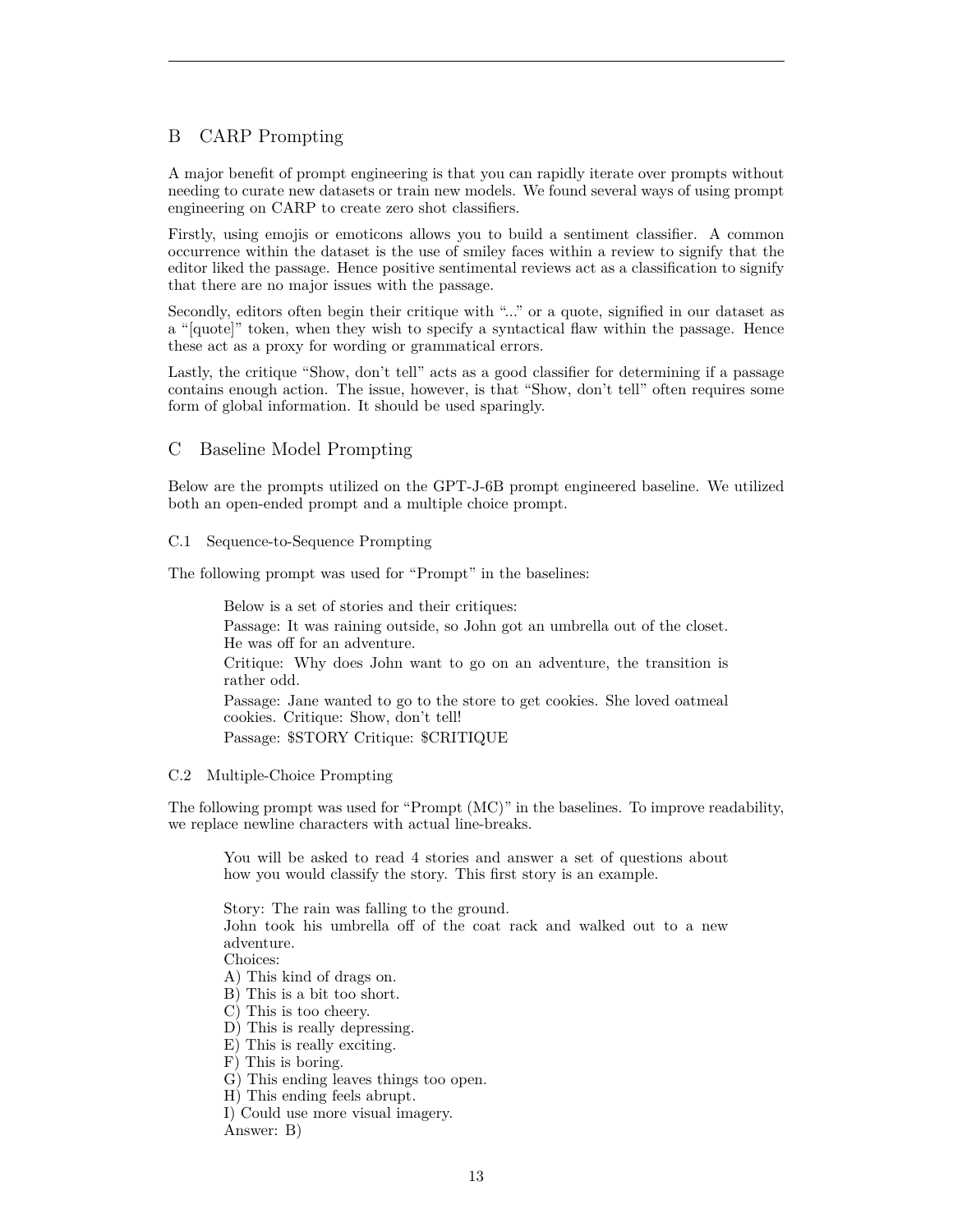# B CARP Prompting

A major benefit of prompt engineering is that you can rapidly iterate over prompts without needing to curate new datasets or train new models. We found several ways of using prompt engineering on CARP to create zero shot classifiers.

Firstly, using emojis or emoticons allows you to build a sentiment classifier. A common occurrence within the dataset is the use of smiley faces within a review to signify that the editor liked the passage. Hence positive sentimental reviews act as a classification to signify that there are no major issues with the passage.

Secondly, editors often begin their critique with "..." or a quote, signified in our dataset as a "[quote]" token, when they wish to specify a syntactical flaw within the passage. Hence these act as a proxy for wording or grammatical errors.

Lastly, the critique "Show, don't tell" acts as a good classifier for determining if a passage contains enough action. The issue, however, is that "Show, don't tell" often requires some form of global information. It should be used sparingly.

# C Baseline Model Prompting

Below are the prompts utilized on the GPT-J-6B prompt engineered baseline. We utilized both an open-ended prompt and a multiple choice prompt.

# C.1 Sequence-to-Sequence Prompting

The following prompt was used for "Prompt" in the baselines:

Below is a set of stories and their critiques: Passage: It was raining outside, so John got an umbrella out of the closet. He was off for an adventure. Critique: Why does John want to go on an adventure, the transition is rather odd. Passage: Jane wanted to go to the store to get cookies. She loved oatmeal cookies. Critique: Show, don't tell! Passage: \$STORY Critique: \$CRITIQUE

# <span id="page-12-0"></span>C.2 Multiple-Choice Prompting

The following prompt was used for "Prompt (MC)" in the baselines. To improve readability, we replace newline characters with actual line-breaks.

You will be asked to read 4 stories and answer a set of questions about how you would classify the story. This first story is an example.

Story: The rain was falling to the ground. John took his umbrella off of the coat rack and walked out to a new adventure. Choices: A) This kind of drags on. B) This is a bit too short.

- C) This is too cheery.
- D) This is really depressing.
- E) This is really exciting.
- F) This is boring.
- G) This ending leaves things too open.
- H) This ending feels abrupt.
- I) Could use more visual imagery.

Answer: B)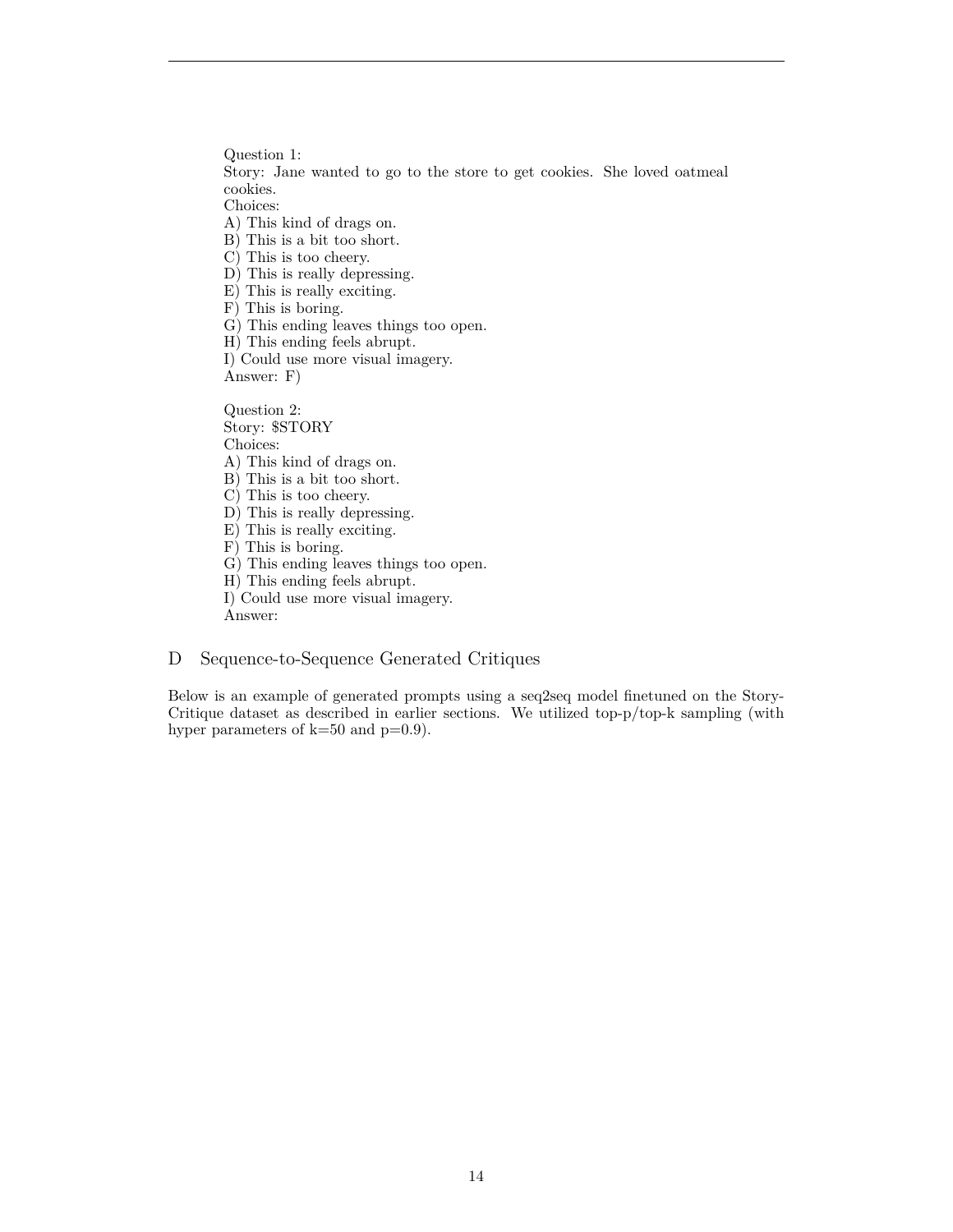Question 1: Story: Jane wanted to go to the store to get cookies. She loved oatmeal cookies.

Choices:

A) This kind of drags on.

B) This is a bit too short.

C) This is too cheery.

D) This is really depressing.

E) This is really exciting.

- F) This is boring.
- G) This ending leaves things too open.

H) This ending feels abrupt.

I) Could use more visual imagery.

Answer: F)

Question 2: Story: \$STORY Choices:

A) This kind of drags on.

- B) This is a bit too short.
- C) This is too cheery.
- 

D) This is really depressing. E) This is really exciting.

F) This is boring.

G) This ending leaves things too open.

H) This ending feels abrupt.

I) Could use more visual imagery.

Answer:

# <span id="page-13-0"></span>D Sequence-to-Sequence Generated Critiques

Below is an example of generated prompts using a seq2seq model finetuned on the Story-Critique dataset as described in earlier sections. We utilized top-p/top-k sampling (with hyper parameters of  $k=50$  and  $p=0.9$ ).